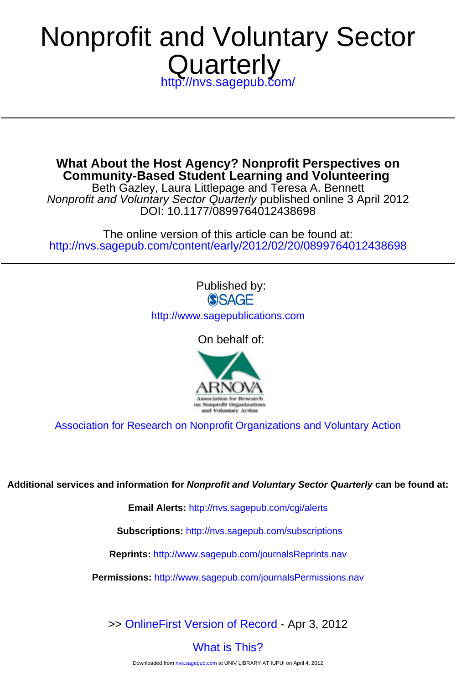# **Quarterly** Nonprofit and Voluntary Sector

<http://nvs.sagepub.com/>

**Community-Based Student Learning and Volunteering What About the Host Agency? Nonprofit Perspectives on**

DOI: 10.1177/0899764012438698 Nonprofit and Voluntary Sector Quarterly published online 3 April 2012 Beth Gazley, Laura Littlepage and Teresa A. Bennett

<http://nvs.sagepub.com/content/early/2012/02/20/0899764012438698> The online version of this article can be found at:

> Published by:<br>
> SAGE <http://www.sagepublications.com>

> > On behalf of:



[Association for Research on Nonprofit Organizations and Voluntary Action](http://www.arnova.org)

**Additional services and information for Nonprofit and Voluntary Sector Quarterly can be found at:**

**Email Alerts:** <http://nvs.sagepub.com/cgi/alerts>

**Subscriptions:** <http://nvs.sagepub.com/subscriptions>

**Reprints:** <http://www.sagepub.com/journalsReprints.nav>

**Permissions:** <http://www.sagepub.com/journalsPermissions.nav>

>> [OnlineFirst Version of Record -](http://nvs.sagepub.com/content/early/2012/02/20/0899764012438698.full.pdf) Apr 3, 2012

# [What is This?](http://online.sagepub.com/site/sphelp/vorhelp.xhtml)

Downloaded from nys.sagepub.com at UNIV LIBRARY AT IUPUI on April 4, 2012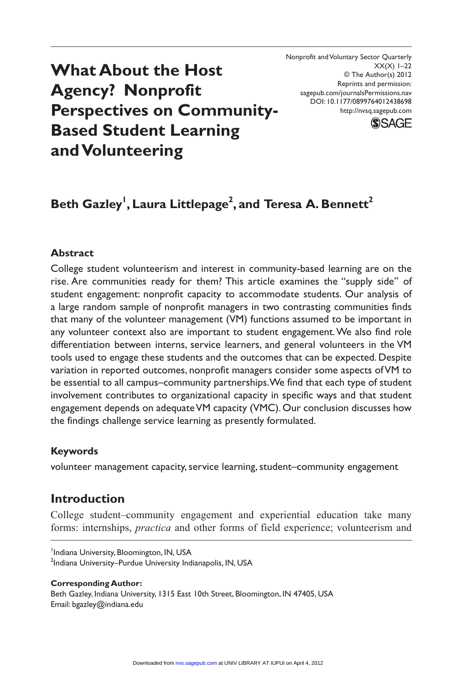Nonprofit and Voluntary Sector Quarterly XX(X) 1–22 © The Author(s) 2012 Reprints and permission: sagepub.com/journalsPermissions.nav DOI: 10.1177/0899764012438698 http://nvsq.sagepub.com



# **What About the Host Agency? Nonprofit Perspectives on Community-Based Student Learning and Volunteering**

# $\mathbf{B}$ eth Gazley<sup>!</sup>, Laura Littlepage<sup>2</sup>, and Teresa A. Bennett<sup>2</sup>

## **Abstract**

College student volunteerism and interest in community-based learning are on the rise. Are communities ready for them? This article examines the "supply side" of student engagement: nonprofit capacity to accommodate students. Our analysis of a large random sample of nonprofit managers in two contrasting communities finds that many of the volunteer management (VM) functions assumed to be important in any volunteer context also are important to student engagement. We also find role differentiation between interns, service learners, and general volunteers in the VM tools used to engage these students and the outcomes that can be expected. Despite variation in reported outcomes, nonprofit managers consider some aspects of VM to be essential to all campus–community partnerships. We find that each type of student involvement contributes to organizational capacity in specific ways and that student engagement depends on adequate VM capacity (VMC). Our conclusion discusses how the findings challenge service learning as presently formulated.

# **Keywords**

volunteer management capacity, service learning, student–community engagement

# **Introduction**

College student–community engagement and experiential education take many forms: internships, *practica* and other forms of field experience; volunteerism and

<sup>1</sup>Indiana University, Bloomington, IN, USA <sup>2</sup>Indiana University–Purdue University Indianapolis, IN, USA

#### **Corresponding Author:**

Beth Gazley, Indiana University, 1315 East 10th Street, Bloomington, IN 47405, USA Email: bgazley@indiana.edu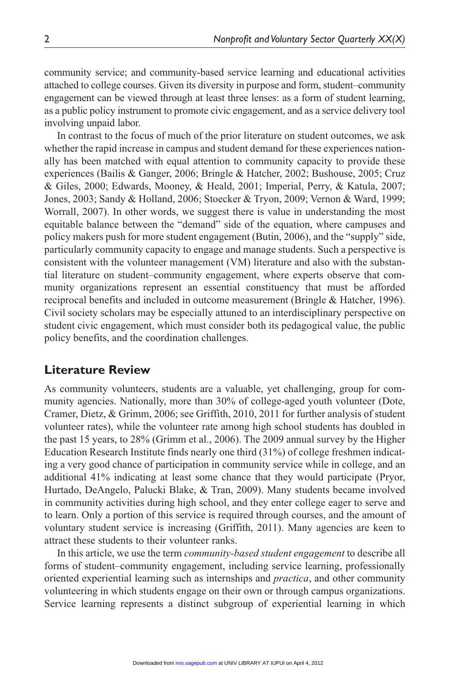community service; and community-based service learning and educational activities attached to college courses. Given its diversity in purpose and form, student–community engagement can be viewed through at least three lenses: as a form of student learning, as a public policy instrument to promote civic engagement, and as a service delivery tool involving unpaid labor.

In contrast to the focus of much of the prior literature on student outcomes, we ask whether the rapid increase in campus and student demand for these experiences nationally has been matched with equal attention to community capacity to provide these experiences (Bailis & Ganger, 2006; Bringle & Hatcher, 2002; Bushouse, 2005; Cruz & Giles, 2000; Edwards, Mooney, & Heald, 2001; Imperial, Perry, & Katula, 2007; Jones, 2003; Sandy & Holland, 2006; Stoecker & Tryon, 2009; Vernon & Ward, 1999; Worrall, 2007). In other words, we suggest there is value in understanding the most equitable balance between the "demand" side of the equation, where campuses and policy makers push for more student engagement (Butin, 2006), and the "supply" side, particularly community capacity to engage and manage students. Such a perspective is consistent with the volunteer management (VM) literature and also with the substantial literature on student–community engagement, where experts observe that community organizations represent an essential constituency that must be afforded reciprocal benefits and included in outcome measurement (Bringle & Hatcher, 1996). Civil society scholars may be especially attuned to an interdisciplinary perspective on student civic engagement, which must consider both its pedagogical value, the public policy benefits, and the coordination challenges.

#### **Literature Review**

As community volunteers, students are a valuable, yet challenging, group for community agencies. Nationally, more than 30% of college-aged youth volunteer (Dote, Cramer, Dietz, & Grimm, 2006; see Griffith, 2010, 2011 for further analysis of student volunteer rates), while the volunteer rate among high school students has doubled in the past 15 years, to 28% (Grimm et al., 2006). The 2009 annual survey by the Higher Education Research Institute finds nearly one third (31%) of college freshmen indicating a very good chance of participation in community service while in college, and an additional 41% indicating at least some chance that they would participate (Pryor, Hurtado, DeAngelo, Palucki Blake, & Tran, 2009). Many students became involved in community activities during high school, and they enter college eager to serve and to learn. Only a portion of this service is required through courses, and the amount of voluntary student service is increasing (Griffith, 2011). Many agencies are keen to attract these students to their volunteer ranks.

In this article, we use the term *community-based student engagement* to describe all forms of student–community engagement, including service learning, professionally oriented experiential learning such as internships and *practica*, and other community volunteering in which students engage on their own or through campus organizations. Service learning represents a distinct subgroup of experiential learning in which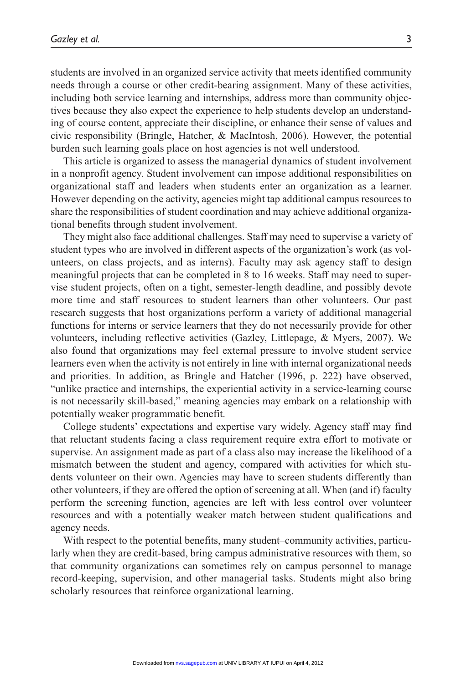students are involved in an organized service activity that meets identified community needs through a course or other credit-bearing assignment. Many of these activities, including both service learning and internships, address more than community objectives because they also expect the experience to help students develop an understanding of course content, appreciate their discipline, or enhance their sense of values and civic responsibility (Bringle, Hatcher, & MacIntosh, 2006). However, the potential burden such learning goals place on host agencies is not well understood.

This article is organized to assess the managerial dynamics of student involvement in a nonprofit agency. Student involvement can impose additional responsibilities on organizational staff and leaders when students enter an organization as a learner. However depending on the activity, agencies might tap additional campus resources to share the responsibilities of student coordination and may achieve additional organizational benefits through student involvement.

They might also face additional challenges. Staff may need to supervise a variety of student types who are involved in different aspects of the organization's work (as volunteers, on class projects, and as interns). Faculty may ask agency staff to design meaningful projects that can be completed in 8 to 16 weeks. Staff may need to supervise student projects, often on a tight, semester-length deadline, and possibly devote more time and staff resources to student learners than other volunteers. Our past research suggests that host organizations perform a variety of additional managerial functions for interns or service learners that they do not necessarily provide for other volunteers, including reflective activities (Gazley, Littlepage, & Myers, 2007). We also found that organizations may feel external pressure to involve student service learners even when the activity is not entirely in line with internal organizational needs and priorities. In addition, as Bringle and Hatcher (1996, p. 222) have observed, "unlike practice and internships, the experiential activity in a service-learning course is not necessarily skill-based," meaning agencies may embark on a relationship with potentially weaker programmatic benefit.

College students' expectations and expertise vary widely. Agency staff may find that reluctant students facing a class requirement require extra effort to motivate or supervise. An assignment made as part of a class also may increase the likelihood of a mismatch between the student and agency, compared with activities for which students volunteer on their own. Agencies may have to screen students differently than other volunteers, if they are offered the option of screening at all. When (and if) faculty perform the screening function, agencies are left with less control over volunteer resources and with a potentially weaker match between student qualifications and agency needs.

With respect to the potential benefits, many student–community activities, particularly when they are credit-based, bring campus administrative resources with them, so that community organizations can sometimes rely on campus personnel to manage record-keeping, supervision, and other managerial tasks. Students might also bring scholarly resources that reinforce organizational learning.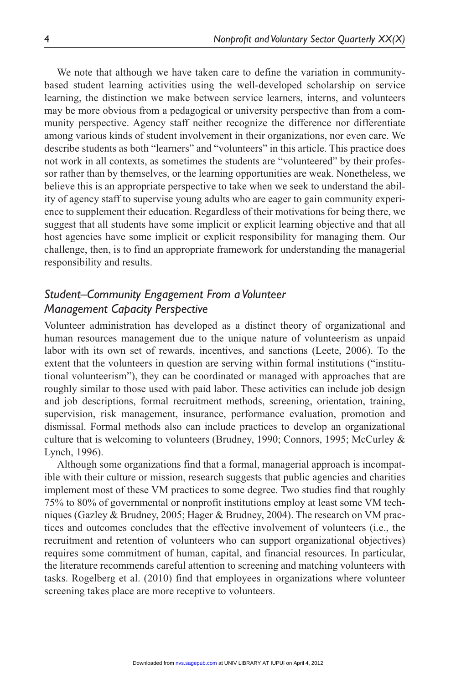We note that although we have taken care to define the variation in communitybased student learning activities using the well-developed scholarship on service learning, the distinction we make between service learners, interns, and volunteers may be more obvious from a pedagogical or university perspective than from a community perspective. Agency staff neither recognize the difference nor differentiate among various kinds of student involvement in their organizations, nor even care. We describe students as both "learners" and "volunteers" in this article. This practice does not work in all contexts, as sometimes the students are "volunteered" by their professor rather than by themselves, or the learning opportunities are weak. Nonetheless, we believe this is an appropriate perspective to take when we seek to understand the ability of agency staff to supervise young adults who are eager to gain community experience to supplement their education. Regardless of their motivations for being there, we suggest that all students have some implicit or explicit learning objective and that all host agencies have some implicit or explicit responsibility for managing them. Our challenge, then, is to find an appropriate framework for understanding the managerial responsibility and results.

# *Student–Community Engagement From a Volunteer Management Capacity Perspective*

Volunteer administration has developed as a distinct theory of organizational and human resources management due to the unique nature of volunteerism as unpaid labor with its own set of rewards, incentives, and sanctions (Leete, 2006). To the extent that the volunteers in question are serving within formal institutions ("institutional volunteerism"), they can be coordinated or managed with approaches that are roughly similar to those used with paid labor. These activities can include job design and job descriptions, formal recruitment methods, screening, orientation, training, supervision, risk management, insurance, performance evaluation, promotion and dismissal. Formal methods also can include practices to develop an organizational culture that is welcoming to volunteers (Brudney, 1990; Connors, 1995; McCurley & Lynch, 1996).

Although some organizations find that a formal, managerial approach is incompatible with their culture or mission, research suggests that public agencies and charities implement most of these VM practices to some degree. Two studies find that roughly 75% to 80% of governmental or nonprofit institutions employ at least some VM techniques (Gazley & Brudney, 2005; Hager & Brudney, 2004). The research on VM practices and outcomes concludes that the effective involvement of volunteers (i.e., the recruitment and retention of volunteers who can support organizational objectives) requires some commitment of human, capital, and financial resources. In particular, the literature recommends careful attention to screening and matching volunteers with tasks. Rogelberg et al. (2010) find that employees in organizations where volunteer screening takes place are more receptive to volunteers.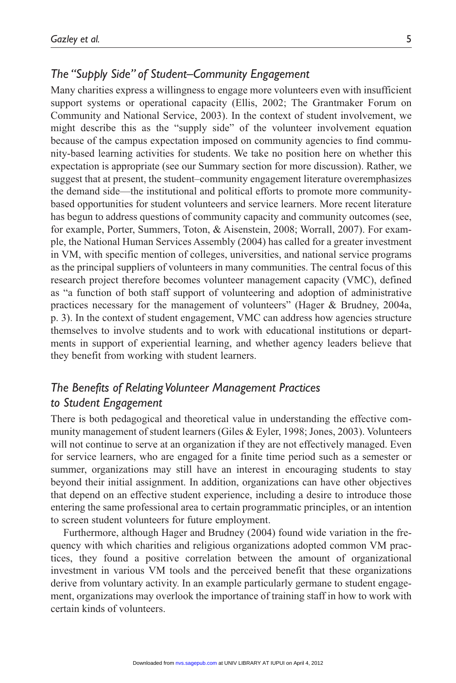## *The "Supply Side" of Student–Community Engagement*

Many charities express a willingness to engage more volunteers even with insufficient support systems or operational capacity (Ellis, 2002; The Grantmaker Forum on Community and National Service, 2003). In the context of student involvement, we might describe this as the "supply side" of the volunteer involvement equation because of the campus expectation imposed on community agencies to find community-based learning activities for students. We take no position here on whether this expectation is appropriate (see our Summary section for more discussion). Rather, we suggest that at present, the student–community engagement literature overemphasizes the demand side—the institutional and political efforts to promote more communitybased opportunities for student volunteers and service learners. More recent literature has begun to address questions of community capacity and community outcomes (see, for example, Porter, Summers, Toton, & Aisenstein, 2008; Worrall, 2007). For example, the National Human Services Assembly (2004) has called for a greater investment in VM, with specific mention of colleges, universities, and national service programs as the principal suppliers of volunteers in many communities. The central focus of this research project therefore becomes volunteer management capacity (VMC), defined as "a function of both staff support of volunteering and adoption of administrative practices necessary for the management of volunteers" (Hager & Brudney, 2004a, p. 3). In the context of student engagement, VMC can address how agencies structure themselves to involve students and to work with educational institutions or departments in support of experiential learning, and whether agency leaders believe that they benefit from working with student learners.

## *The Benefits of Relating Volunteer Management Practices to Student Engagement*

There is both pedagogical and theoretical value in understanding the effective community management of student learners (Giles & Eyler, 1998; Jones, 2003). Volunteers will not continue to serve at an organization if they are not effectively managed. Even for service learners, who are engaged for a finite time period such as a semester or summer, organizations may still have an interest in encouraging students to stay beyond their initial assignment. In addition, organizations can have other objectives that depend on an effective student experience, including a desire to introduce those entering the same professional area to certain programmatic principles, or an intention to screen student volunteers for future employment.

Furthermore, although Hager and Brudney (2004) found wide variation in the frequency with which charities and religious organizations adopted common VM practices, they found a positive correlation between the amount of organizational investment in various VM tools and the perceived benefit that these organizations derive from voluntary activity. In an example particularly germane to student engagement, organizations may overlook the importance of training staff in how to work with certain kinds of volunteers.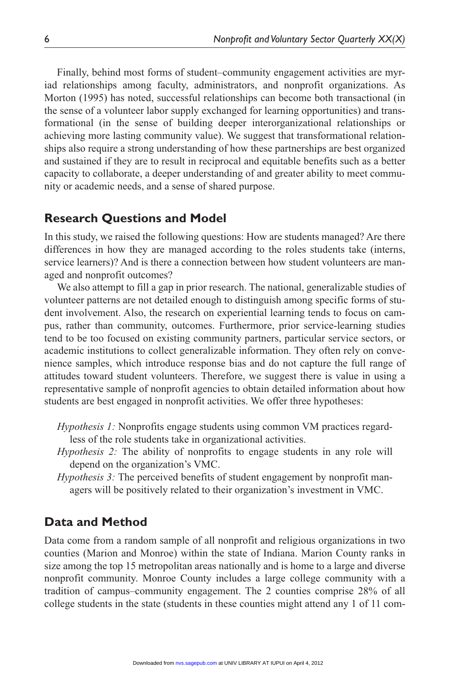Finally, behind most forms of student–community engagement activities are myriad relationships among faculty, administrators, and nonprofit organizations. As Morton (1995) has noted, successful relationships can become both transactional (in the sense of a volunteer labor supply exchanged for learning opportunities) and transformational (in the sense of building deeper interorganizational relationships or achieving more lasting community value). We suggest that transformational relationships also require a strong understanding of how these partnerships are best organized and sustained if they are to result in reciprocal and equitable benefits such as a better capacity to collaborate, a deeper understanding of and greater ability to meet community or academic needs, and a sense of shared purpose.

#### **Research Questions and Model**

In this study, we raised the following questions: How are students managed? Are there differences in how they are managed according to the roles students take (interns, service learners)? And is there a connection between how student volunteers are managed and nonprofit outcomes?

We also attempt to fill a gap in prior research. The national, generalizable studies of volunteer patterns are not detailed enough to distinguish among specific forms of student involvement. Also, the research on experiential learning tends to focus on campus, rather than community, outcomes. Furthermore, prior service-learning studies tend to be too focused on existing community partners, particular service sectors, or academic institutions to collect generalizable information. They often rely on convenience samples, which introduce response bias and do not capture the full range of attitudes toward student volunteers. Therefore, we suggest there is value in using a representative sample of nonprofit agencies to obtain detailed information about how students are best engaged in nonprofit activities. We offer three hypotheses:

- *Hypothesis 1:* Nonprofits engage students using common VM practices regardless of the role students take in organizational activities.
- *Hypothesis 2:* The ability of nonprofits to engage students in any role will depend on the organization's VMC.
- *Hypothesis 3:* The perceived benefits of student engagement by nonprofit managers will be positively related to their organization's investment in VMC.

#### **Data and Method**

Data come from a random sample of all nonprofit and religious organizations in two counties (Marion and Monroe) within the state of Indiana. Marion County ranks in size among the top 15 metropolitan areas nationally and is home to a large and diverse nonprofit community. Monroe County includes a large college community with a tradition of campus–community engagement. The 2 counties comprise 28% of all college students in the state (students in these counties might attend any 1 of 11 com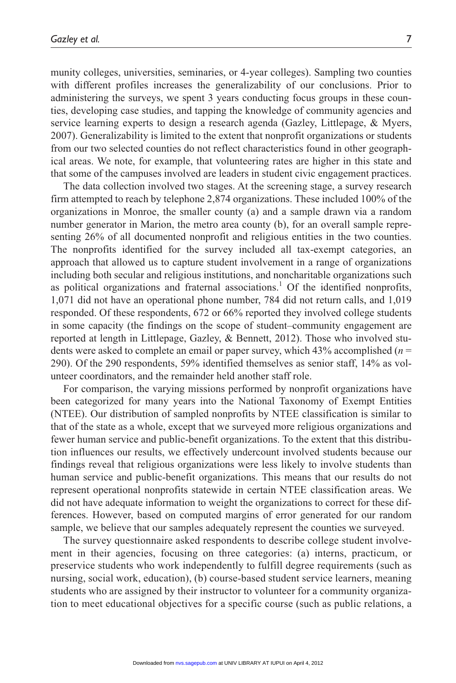munity colleges, universities, seminaries, or 4-year colleges). Sampling two counties with different profiles increases the generalizability of our conclusions. Prior to administering the surveys, we spent 3 years conducting focus groups in these counties, developing case studies, and tapping the knowledge of community agencies and service learning experts to design a research agenda (Gazley, Littlepage, & Myers, 2007). Generalizability is limited to the extent that nonprofit organizations or students from our two selected counties do not reflect characteristics found in other geographical areas. We note, for example, that volunteering rates are higher in this state and that some of the campuses involved are leaders in student civic engagement practices.

The data collection involved two stages. At the screening stage, a survey research firm attempted to reach by telephone 2,874 organizations. These included 100% of the organizations in Monroe, the smaller county (a) and a sample drawn via a random number generator in Marion, the metro area county (b), for an overall sample representing 26% of all documented nonprofit and religious entities in the two counties. The nonprofits identified for the survey included all tax-exempt categories, an approach that allowed us to capture student involvement in a range of organizations including both secular and religious institutions, and noncharitable organizations such as political organizations and fraternal associations.<sup>1</sup> Of the identified nonprofits, 1,071 did not have an operational phone number, 784 did not return calls, and 1,019 responded. Of these respondents, 672 or 66% reported they involved college students in some capacity (the findings on the scope of student–community engagement are reported at length in Littlepage, Gazley, & Bennett, 2012). Those who involved students were asked to complete an email or paper survey, which 43% accomplished (*n* = 290). Of the 290 respondents, 59% identified themselves as senior staff, 14% as volunteer coordinators, and the remainder held another staff role.

For comparison, the varying missions performed by nonprofit organizations have been categorized for many years into the National Taxonomy of Exempt Entities (NTEE). Our distribution of sampled nonprofits by NTEE classification is similar to that of the state as a whole, except that we surveyed more religious organizations and fewer human service and public-benefit organizations. To the extent that this distribution influences our results, we effectively undercount involved students because our findings reveal that religious organizations were less likely to involve students than human service and public-benefit organizations. This means that our results do not represent operational nonprofits statewide in certain NTEE classification areas. We did not have adequate information to weight the organizations to correct for these differences. However, based on computed margins of error generated for our random sample, we believe that our samples adequately represent the counties we surveyed.

The survey questionnaire asked respondents to describe college student involvement in their agencies, focusing on three categories: (a) interns, practicum, or preservice students who work independently to fulfill degree requirements (such as nursing, social work, education), (b) course-based student service learners, meaning students who are assigned by their instructor to volunteer for a community organization to meet educational objectives for a specific course (such as public relations, a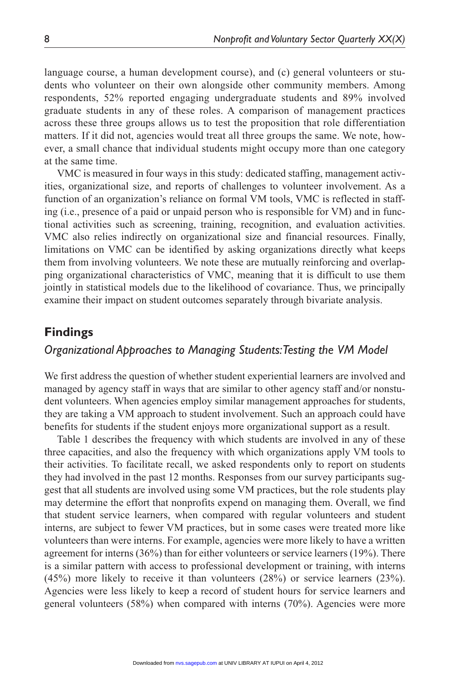language course, a human development course), and (c) general volunteers or students who volunteer on their own alongside other community members. Among respondents, 52% reported engaging undergraduate students and 89% involved graduate students in any of these roles. A comparison of management practices across these three groups allows us to test the proposition that role differentiation matters. If it did not, agencies would treat all three groups the same. We note, however, a small chance that individual students might occupy more than one category at the same time.

VMC is measured in four ways in this study: dedicated staffing, management activities, organizational size, and reports of challenges to volunteer involvement. As a function of an organization's reliance on formal VM tools, VMC is reflected in staffing (i.e., presence of a paid or unpaid person who is responsible for VM) and in functional activities such as screening, training, recognition, and evaluation activities. VMC also relies indirectly on organizational size and financial resources. Finally, limitations on VMC can be identified by asking organizations directly what keeps them from involving volunteers. We note these are mutually reinforcing and overlapping organizational characteristics of VMC, meaning that it is difficult to use them jointly in statistical models due to the likelihood of covariance. Thus, we principally examine their impact on student outcomes separately through bivariate analysis.

#### **Findings**

#### *Organizational Approaches to Managing Students: Testing the VM Model*

We first address the question of whether student experiential learners are involved and managed by agency staff in ways that are similar to other agency staff and/or nonstudent volunteers. When agencies employ similar management approaches for students, they are taking a VM approach to student involvement. Such an approach could have benefits for students if the student enjoys more organizational support as a result.

Table 1 describes the frequency with which students are involved in any of these three capacities, and also the frequency with which organizations apply VM tools to their activities. To facilitate recall, we asked respondents only to report on students they had involved in the past 12 months. Responses from our survey participants suggest that all students are involved using some VM practices, but the role students play may determine the effort that nonprofits expend on managing them. Overall, we find that student service learners, when compared with regular volunteers and student interns, are subject to fewer VM practices, but in some cases were treated more like volunteers than were interns. For example, agencies were more likely to have a written agreement for interns (36%) than for either volunteers or service learners (19%). There is a similar pattern with access to professional development or training, with interns (45%) more likely to receive it than volunteers (28%) or service learners (23%). Agencies were less likely to keep a record of student hours for service learners and general volunteers (58%) when compared with interns (70%). Agencies were more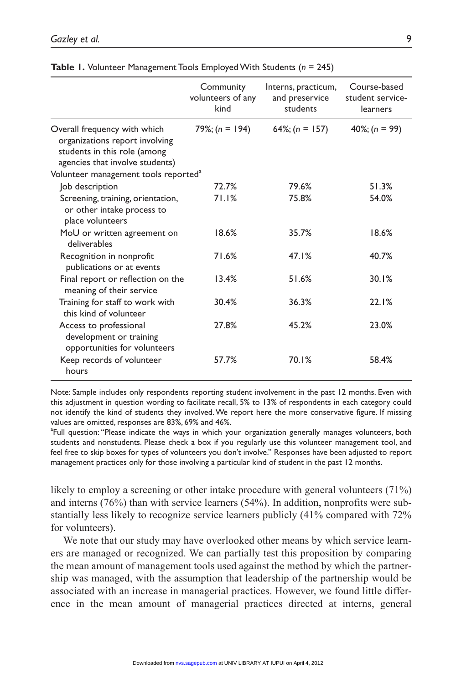|                                                                                                                                   | Community<br>volunteers of any<br>kind | Interns, practicum,<br>and preservice<br>students | Course-based<br>student service-<br>learners |
|-----------------------------------------------------------------------------------------------------------------------------------|----------------------------------------|---------------------------------------------------|----------------------------------------------|
| Overall frequency with which<br>organizations report involving<br>students in this role (among<br>agencies that involve students) | $79\%;$ (n = 194)                      | $64\%;$ (n = 157)                                 | $40\%;$ (n = 99)                             |
| Volunteer management tools reported <sup>a</sup>                                                                                  | 72.7%                                  | 79.6%                                             | 51.3%                                        |
| Job description                                                                                                                   | 71.1%                                  | 75.8%                                             |                                              |
| Screening, training, orientation,<br>or other intake process to<br>place volunteers                                               |                                        |                                                   | 54.0%                                        |
| MoU or written agreement on<br>deliverables                                                                                       | 18.6%                                  | 35.7%                                             | 18.6%                                        |
| Recognition in nonprofit<br>publications or at events                                                                             | 71.6%                                  | 47.1%                                             | 40.7%                                        |
| Final report or reflection on the<br>meaning of their service                                                                     | 13.4%                                  | 51.6%                                             | 30.1%                                        |
| Training for staff to work with<br>this kind of volunteer                                                                         | 30.4%                                  | 36.3%                                             | 22.1%                                        |
| Access to professional<br>development or training<br>opportunities for volunteers                                                 | 27.8%                                  | 45.2%                                             | 23.0%                                        |
| Keep records of volunteer<br>hours                                                                                                | 57.7%                                  | 70.1%                                             | 58.4%                                        |

|  | <b>Table 1.</b> Volunteer Management Tools Employed With Students ( $n = 245$ ) |  |  |  |  |
|--|---------------------------------------------------------------------------------|--|--|--|--|
|  |                                                                                 |  |  |  |  |

Note: Sample includes only respondents reporting student involvement in the past 12 months. Even with this adjustment in question wording to facilitate recall, 5% to 13% of respondents in each category could not identify the kind of students they involved. We report here the more conservative figure. If missing values are omitted, responses are 83%, 69% and 46%.

<sup>a</sup>Full question: "Please indicate the ways in which your organization generally manages volunteers, both students and nonstudents. Please check a box if you regularly use this volunteer management tool, and feel free to skip boxes for types of volunteers you don't involve." Responses have been adjusted to report management practices only for those involving a particular kind of student in the past 12 months.

likely to employ a screening or other intake procedure with general volunteers (71%) and interns (76%) than with service learners (54%). In addition, nonprofits were substantially less likely to recognize service learners publicly (41% compared with 72% for volunteers).

We note that our study may have overlooked other means by which service learners are managed or recognized. We can partially test this proposition by comparing the mean amount of management tools used against the method by which the partnership was managed, with the assumption that leadership of the partnership would be associated with an increase in managerial practices. However, we found little difference in the mean amount of managerial practices directed at interns, general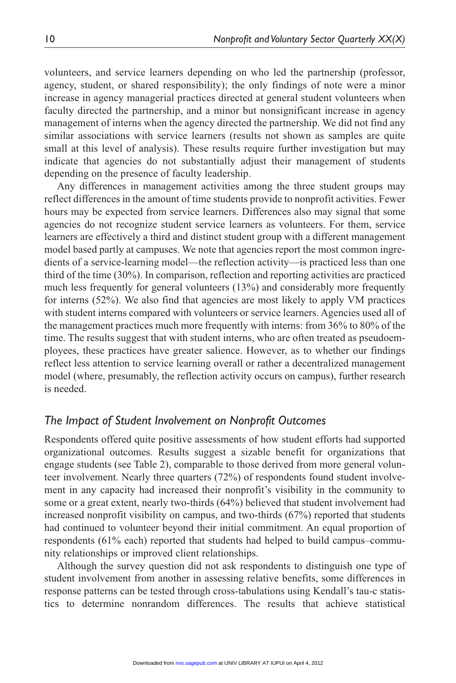volunteers, and service learners depending on who led the partnership (professor, agency, student, or shared responsibility); the only findings of note were a minor increase in agency managerial practices directed at general student volunteers when faculty directed the partnership, and a minor but nonsignificant increase in agency management of interns when the agency directed the partnership. We did not find any similar associations with service learners (results not shown as samples are quite small at this level of analysis). These results require further investigation but may indicate that agencies do not substantially adjust their management of students depending on the presence of faculty leadership.

Any differences in management activities among the three student groups may reflect differences in the amount of time students provide to nonprofit activities. Fewer hours may be expected from service learners. Differences also may signal that some agencies do not recognize student service learners as volunteers. For them, service learners are effectively a third and distinct student group with a different management model based partly at campuses. We note that agencies report the most common ingredients of a service-learning model—the reflection activity—is practiced less than one third of the time (30%). In comparison, reflection and reporting activities are practiced much less frequently for general volunteers (13%) and considerably more frequently for interns (52%). We also find that agencies are most likely to apply VM practices with student interns compared with volunteers or service learners. Agencies used all of the management practices much more frequently with interns: from 36% to 80% of the time. The results suggest that with student interns, who are often treated as pseudoemployees, these practices have greater salience. However, as to whether our findings reflect less attention to service learning overall or rather a decentralized management model (where, presumably, the reflection activity occurs on campus), further research is needed.

#### *The Impact of Student Involvement on Nonprofit Outcomes*

Respondents offered quite positive assessments of how student efforts had supported organizational outcomes. Results suggest a sizable benefit for organizations that engage students (see Table 2), comparable to those derived from more general volunteer involvement. Nearly three quarters (72%) of respondents found student involvement in any capacity had increased their nonprofit's visibility in the community to some or a great extent, nearly two-thirds (64%) believed that student involvement had increased nonprofit visibility on campus, and two-thirds (67%) reported that students had continued to volunteer beyond their initial commitment. An equal proportion of respondents (61% each) reported that students had helped to build campus–community relationships or improved client relationships.

Although the survey question did not ask respondents to distinguish one type of student involvement from another in assessing relative benefits, some differences in response patterns can be tested through cross-tabulations using Kendall's tau-c statistics to determine nonrandom differences. The results that achieve statistical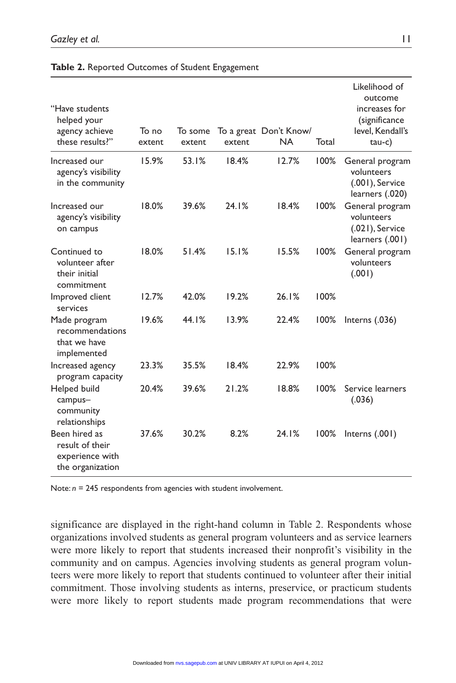| "Have students<br>helped your                                           |                 |                   |        |                               |       | Likelihood of<br>outcome<br>increases for<br>(significance             |
|-------------------------------------------------------------------------|-----------------|-------------------|--------|-------------------------------|-------|------------------------------------------------------------------------|
| agency achieve<br>these results?"                                       | To no<br>extent | To some<br>extent | extent | To a great Don't Know/<br>NA. | Total | level, Kendall's<br>$tau$ -c)                                          |
| Increased our<br>agency's visibility<br>in the community                | 15.9%           | 53.1%             | 18.4%  | 12.7%                         | 100%  | General program<br>volunteers<br>$(.001)$ , Service<br>learners (.020) |
| Increased our<br>agency's visibility<br>on campus                       | 18.0%           | 39.6%             | 24.1%  | 18.4%                         | 100%  | General program<br>volunteers<br>$(.021)$ , Service<br>learners (.001) |
| Continued to<br>volunteer after<br>their initial<br>commitment          | 18.0%           | 51.4%             | 15.1%  | 15.5%                         | 100%  | General program<br>volunteers<br>(.001)                                |
| Improved client<br>services                                             | 12.7%           | 42.0%             | 19.2%  | 26.1%                         | 100%  |                                                                        |
| Made program<br>recommendations<br>that we have<br>implemented          | 19.6%           | 44.1%             | 13.9%  | 22.4%                         | 100%  | Interns (.036)                                                         |
| Increased agency<br>program capacity                                    | 23.3%           | 35.5%             | 18.4%  | 22.9%                         | 100%  |                                                                        |
| Helped build<br>campus-<br>community<br>relationships                   | 20.4%           | 39.6%             | 21.2%  | 18.8%                         | 100%  | Service learners<br>(.036)                                             |
| Been hired as<br>result of their<br>experience with<br>the organization | 37.6%           | 30.2%             | 8.2%   | 24.1%                         | 100%  | Interns $(.001)$                                                       |

#### **Table 2.** Reported Outcomes of Student Engagement

Note:  $n = 245$  respondents from agencies with student involvement.

significance are displayed in the right-hand column in Table 2. Respondents whose organizations involved students as general program volunteers and as service learners were more likely to report that students increased their nonprofit's visibility in the community and on campus. Agencies involving students as general program volunteers were more likely to report that students continued to volunteer after their initial commitment. Those involving students as interns, preservice, or practicum students were more likely to report students made program recommendations that were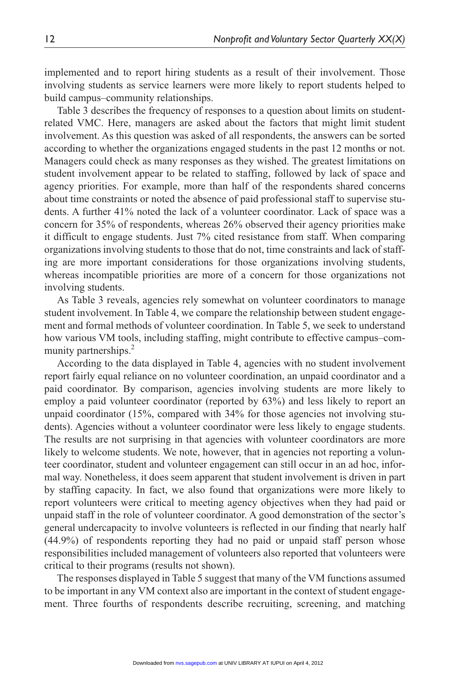implemented and to report hiring students as a result of their involvement. Those involving students as service learners were more likely to report students helped to build campus–community relationships.

Table 3 describes the frequency of responses to a question about limits on studentrelated VMC. Here, managers are asked about the factors that might limit student involvement. As this question was asked of all respondents, the answers can be sorted according to whether the organizations engaged students in the past 12 months or not. Managers could check as many responses as they wished. The greatest limitations on student involvement appear to be related to staffing, followed by lack of space and agency priorities. For example, more than half of the respondents shared concerns about time constraints or noted the absence of paid professional staff to supervise students. A further 41% noted the lack of a volunteer coordinator. Lack of space was a concern for 35% of respondents, whereas 26% observed their agency priorities make it difficult to engage students. Just 7% cited resistance from staff. When comparing organizations involving students to those that do not, time constraints and lack of staffing are more important considerations for those organizations involving students, whereas incompatible priorities are more of a concern for those organizations not involving students.

As Table 3 reveals, agencies rely somewhat on volunteer coordinators to manage student involvement. In Table 4, we compare the relationship between student engagement and formal methods of volunteer coordination. In Table 5, we seek to understand how various VM tools, including staffing, might contribute to effective campus–community partnerships.<sup>2</sup>

According to the data displayed in Table 4, agencies with no student involvement report fairly equal reliance on no volunteer coordination, an unpaid coordinator and a paid coordinator. By comparison, agencies involving students are more likely to employ a paid volunteer coordinator (reported by 63%) and less likely to report an unpaid coordinator (15%, compared with 34% for those agencies not involving students). Agencies without a volunteer coordinator were less likely to engage students. The results are not surprising in that agencies with volunteer coordinators are more likely to welcome students. We note, however, that in agencies not reporting a volunteer coordinator, student and volunteer engagement can still occur in an ad hoc, informal way. Nonetheless, it does seem apparent that student involvement is driven in part by staffing capacity. In fact, we also found that organizations were more likely to report volunteers were critical to meeting agency objectives when they had paid or unpaid staff in the role of volunteer coordinator. A good demonstration of the sector's general undercapacity to involve volunteers is reflected in our finding that nearly half (44.9%) of respondents reporting they had no paid or unpaid staff person whose responsibilities included management of volunteers also reported that volunteers were critical to their programs (results not shown).

The responses displayed in Table 5 suggest that many of the VM functions assumed to be important in any VM context also are important in the context of student engagement. Three fourths of respondents describe recruiting, screening, and matching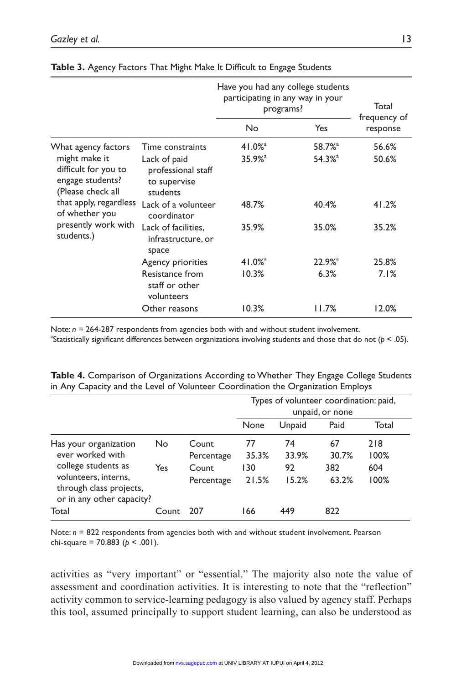|                                                                                                                                                                                        |                                                                        | Have you had any college students<br>participating in any way in your<br>programs? | Total                                      |                          |  |
|----------------------------------------------------------------------------------------------------------------------------------------------------------------------------------------|------------------------------------------------------------------------|------------------------------------------------------------------------------------|--------------------------------------------|--------------------------|--|
|                                                                                                                                                                                        |                                                                        | No                                                                                 | Yes                                        | frequency of<br>response |  |
| What agency factors<br>might make it<br>difficult for you to<br>engage students?<br>(Please check all<br>that apply, regardless<br>of whether you<br>presently work with<br>students.) | Time constraints<br>Lack of paid<br>professional staff<br>to supervise | $41.0\%$ <sup>a</sup><br>$35.9%$ <sup>a</sup>                                      | 58.7% <sup>a</sup><br>$54.3%$ <sup>a</sup> | 56.6%<br>50.6%           |  |
|                                                                                                                                                                                        | students<br>Lack of a volunteer<br>coordinator                         | 48.7%                                                                              | 40.4%                                      | 41.2%                    |  |
|                                                                                                                                                                                        | Lack of facilities,<br>infrastructure, or<br>space                     | 35.9%                                                                              | 35.0%                                      | 35.2%                    |  |
|                                                                                                                                                                                        | Agency priorities                                                      | $41.0\%$ <sup>a</sup>                                                              | $22.9%$ <sup>a</sup>                       | 25.8%                    |  |
|                                                                                                                                                                                        | Resistance from<br>staff or other<br>volunteers                        | 10.3%                                                                              | 6.3%                                       | 7.1%                     |  |
|                                                                                                                                                                                        | Other reasons                                                          | 10.3%                                                                              | 11.7%                                      | 12.0%                    |  |

#### **Table 3.** Agency Factors That Might Make It Difficult to Engage Students

Note:  $n = 264-287$  respondents from agencies both with and without student involvement.

<sup>a</sup> Statistically significant differences between organizations involving students and those that do not ( $p < .05$ ).

|  |  |  | Table 4. Comparison of Organizations According to Whether They Engage College Students |  |  |
|--|--|--|----------------------------------------------------------------------------------------|--|--|
|  |  |  | in Any Capacity and the Level of Volunteer Coordination the Organization Employs       |  |  |

|                                                                                                                                                  |                  |                                            | Types of volunteer coordination: paid,<br>unpaid, or none |                            |                             |                            |  |
|--------------------------------------------------------------------------------------------------------------------------------------------------|------------------|--------------------------------------------|-----------------------------------------------------------|----------------------------|-----------------------------|----------------------------|--|
|                                                                                                                                                  |                  |                                            | None                                                      | Unpaid                     | Paid                        | Total                      |  |
| Has your organization<br>ever worked with<br>college students as<br>volunteers, interns,<br>through class projects,<br>or in any other capacity? | <b>No</b><br>Yes | Count<br>Percentage<br>Count<br>Percentage | 77<br>35.3%<br>130<br>21.5%                               | 74<br>33.9%<br>92<br>15.2% | 67<br>30.7%<br>382<br>63.2% | 218<br>100%<br>604<br>100% |  |
| Total                                                                                                                                            | Count            | 207                                        | 166                                                       | 449                        | 822                         |                            |  |

Note:  $n = 822$  respondents from agencies both with and without student involvement. Pearson chi-square = 70.883 ( $p < .001$ ).

activities as "very important" or "essential." The majority also note the value of assessment and coordination activities. It is interesting to note that the "reflection" activity common to service-learning pedagogy is also valued by agency staff. Perhaps this tool, assumed principally to support student learning, can also be understood as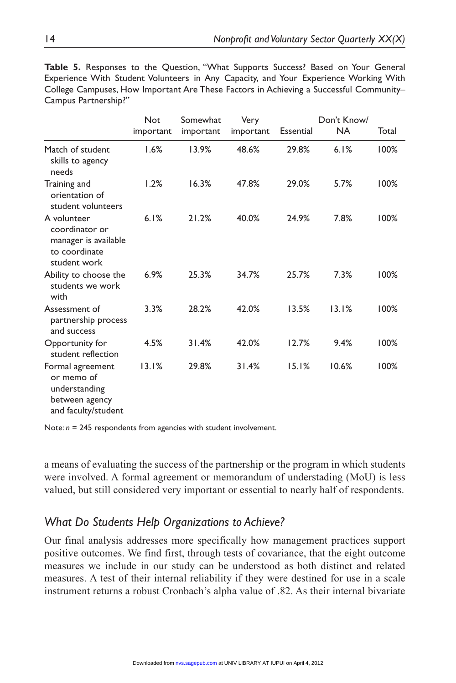|                                                                                          | Not<br>important | Somewhat<br>important | Very<br>important | Essential | Don't Know/<br><b>NA</b> | Total |
|------------------------------------------------------------------------------------------|------------------|-----------------------|-------------------|-----------|--------------------------|-------|
| Match of student<br>skills to agency<br>needs                                            | 1.6%             | 13.9%                 | 48.6%             | 29.8%     | 6.1%                     | 100%  |
| Training and<br>orientation of<br>student volunteers                                     | 1.2%             | 16.3%                 | 47.8%             | 29.0%     | 5.7%                     | 100%  |
| A volunteer<br>coordinator or<br>manager is available<br>to coordinate<br>student work   | 6.1%             | 21.2%                 | 40.0%             | 24.9%     | 7.8%                     | 100%  |
| Ability to choose the<br>students we work<br>with                                        | 6.9%             | 25.3%                 | 34.7%             | 25.7%     | 7.3%                     | 100%  |
| Assessment of<br>partnership process<br>and success                                      | 3.3%             | 28.2%                 | 42.0%             | 13.5%     | 13.1%                    | 100%  |
| Opportunity for<br>student reflection                                                    | 4.5%             | 31.4%                 | 42.0%             | 12.7%     | 9.4%                     | 100%  |
| Formal agreement<br>or memo of<br>understanding<br>between agency<br>and faculty/student | 13.1%            | 29.8%                 | 31.4%             | 15.1%     | 10.6%                    | 100%  |

**Table 5.** Responses to the Question, "What Supports Success? Based on Your General Experience With Student Volunteers in Any Capacity, and Your Experience Working With College Campuses, How Important Are These Factors in Achieving a Successful Community– Campus Partnership?"

Note:  $n = 245$  respondents from agencies with student involvement.

a means of evaluating the success of the partnership or the program in which students were involved. A formal agreement or memorandum of understading (MoU) is less valued, but still considered very important or essential to nearly half of respondents.

#### *What Do Students Help Organizations to Achieve?*

Our final analysis addresses more specifically how management practices support positive outcomes. We find first, through tests of covariance, that the eight outcome measures we include in our study can be understood as both distinct and related measures. A test of their internal reliability if they were destined for use in a scale instrument returns a robust Cronbach's alpha value of .82. As their internal bivariate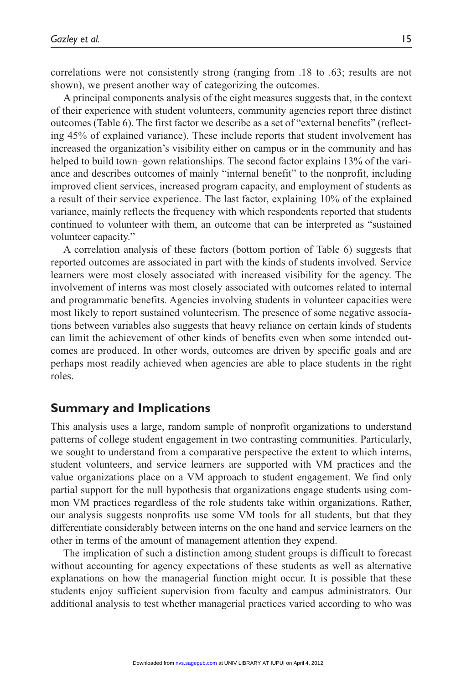correlations were not consistently strong (ranging from .18 to .63; results are not shown), we present another way of categorizing the outcomes.

A principal components analysis of the eight measures suggests that, in the context of their experience with student volunteers, community agencies report three distinct outcomes (Table 6). The first factor we describe as a set of "external benefits" (reflecting 45% of explained variance). These include reports that student involvement has increased the organization's visibility either on campus or in the community and has helped to build town–gown relationships. The second factor explains 13% of the variance and describes outcomes of mainly "internal benefit" to the nonprofit, including improved client services, increased program capacity, and employment of students as a result of their service experience. The last factor, explaining 10% of the explained variance, mainly reflects the frequency with which respondents reported that students continued to volunteer with them, an outcome that can be interpreted as "sustained volunteer capacity."

A correlation analysis of these factors (bottom portion of Table 6) suggests that reported outcomes are associated in part with the kinds of students involved. Service learners were most closely associated with increased visibility for the agency. The involvement of interns was most closely associated with outcomes related to internal and programmatic benefits. Agencies involving students in volunteer capacities were most likely to report sustained volunteerism. The presence of some negative associations between variables also suggests that heavy reliance on certain kinds of students can limit the achievement of other kinds of benefits even when some intended outcomes are produced. In other words, outcomes are driven by specific goals and are perhaps most readily achieved when agencies are able to place students in the right roles.

#### **Summary and Implications**

This analysis uses a large, random sample of nonprofit organizations to understand patterns of college student engagement in two contrasting communities. Particularly, we sought to understand from a comparative perspective the extent to which interns, student volunteers, and service learners are supported with VM practices and the value organizations place on a VM approach to student engagement. We find only partial support for the null hypothesis that organizations engage students using common VM practices regardless of the role students take within organizations. Rather, our analysis suggests nonprofits use some VM tools for all students, but that they differentiate considerably between interns on the one hand and service learners on the other in terms of the amount of management attention they expend.

The implication of such a distinction among student groups is difficult to forecast without accounting for agency expectations of these students as well as alternative explanations on how the managerial function might occur. It is possible that these students enjoy sufficient supervision from faculty and campus administrators. Our additional analysis to test whether managerial practices varied according to who was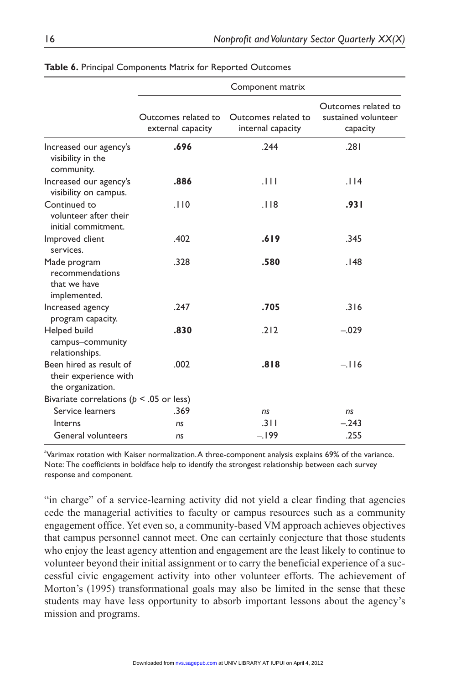|                                                                       | Component matrix                         |                                          |                                                        |  |  |  |
|-----------------------------------------------------------------------|------------------------------------------|------------------------------------------|--------------------------------------------------------|--|--|--|
|                                                                       | Outcomes related to<br>external capacity | Outcomes related to<br>internal capacity | Outcomes related to<br>sustained volunteer<br>capacity |  |  |  |
| Increased our agency's<br>visibility in the<br>community.             | .696                                     | .244                                     | .281                                                   |  |  |  |
| Increased our agency's<br>visibility on campus.                       | .886                                     | .111                                     | .114                                                   |  |  |  |
| Continued to<br>volunteer after their<br>initial commitment.          | .110                                     | .118                                     | .931                                                   |  |  |  |
| Improved client<br>services.                                          | .402                                     | .619                                     | .345                                                   |  |  |  |
| Made program<br>recommendations<br>that we have<br>implemented.       | .328                                     | .580                                     | .148                                                   |  |  |  |
| Increased agency<br>program capacity.                                 | .247                                     | .705                                     | .316                                                   |  |  |  |
| Helped build<br>campus-community<br>relationships.                    | .830                                     | .212                                     | $-.029$                                                |  |  |  |
| Been hired as result of<br>their experience with<br>the organization. | .002                                     | .818                                     | $-.116$                                                |  |  |  |
| Bivariate correlations ( $p < .05$ or less)                           |                                          |                                          |                                                        |  |  |  |
| Service learners                                                      | .369                                     | ns                                       | ns                                                     |  |  |  |
| Interns                                                               | ns                                       | 311                                      | $-.243$                                                |  |  |  |
| General volunteers                                                    | ns                                       | $-.199$                                  | .255                                                   |  |  |  |

**Table 6.** Principal Components Matrix for Reported Outcomes

<sup>a</sup>Varimax rotation with Kaiser normalization.A three-component analysis explains 69% of the variance. Note: The coefficients in boldface help to identify the strongest relationship between each survey response and component.

"in charge" of a service-learning activity did not yield a clear finding that agencies cede the managerial activities to faculty or campus resources such as a community engagement office. Yet even so, a community-based VM approach achieves objectives that campus personnel cannot meet. One can certainly conjecture that those students who enjoy the least agency attention and engagement are the least likely to continue to volunteer beyond their initial assignment or to carry the beneficial experience of a successful civic engagement activity into other volunteer efforts. The achievement of Morton's (1995) transformational goals may also be limited in the sense that these students may have less opportunity to absorb important lessons about the agency's mission and programs.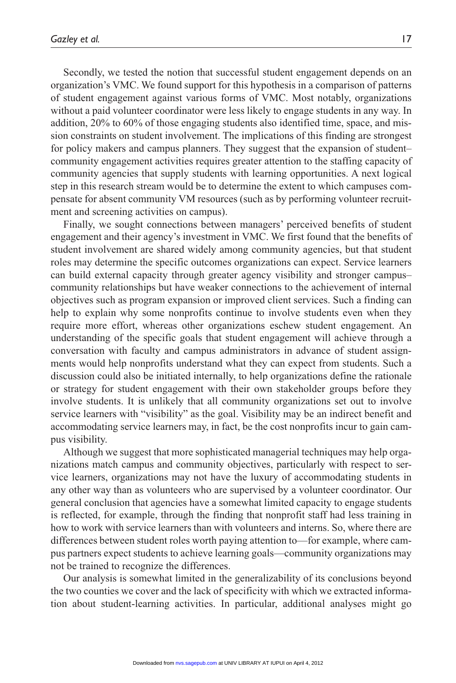Secondly, we tested the notion that successful student engagement depends on an organization's VMC. We found support for this hypothesis in a comparison of patterns of student engagement against various forms of VMC. Most notably, organizations without a paid volunteer coordinator were less likely to engage students in any way. In addition, 20% to 60% of those engaging students also identified time, space, and mission constraints on student involvement. The implications of this finding are strongest for policy makers and campus planners. They suggest that the expansion of student– community engagement activities requires greater attention to the staffing capacity of community agencies that supply students with learning opportunities. A next logical step in this research stream would be to determine the extent to which campuses compensate for absent community VM resources (such as by performing volunteer recruitment and screening activities on campus).

Finally, we sought connections between managers' perceived benefits of student engagement and their agency's investment in VMC. We first found that the benefits of student involvement are shared widely among community agencies, but that student roles may determine the specific outcomes organizations can expect. Service learners can build external capacity through greater agency visibility and stronger campus– community relationships but have weaker connections to the achievement of internal objectives such as program expansion or improved client services. Such a finding can help to explain why some nonprofits continue to involve students even when they require more effort, whereas other organizations eschew student engagement. An understanding of the specific goals that student engagement will achieve through a conversation with faculty and campus administrators in advance of student assignments would help nonprofits understand what they can expect from students. Such a discussion could also be initiated internally, to help organizations define the rationale or strategy for student engagement with their own stakeholder groups before they involve students. It is unlikely that all community organizations set out to involve service learners with "visibility" as the goal. Visibility may be an indirect benefit and accommodating service learners may, in fact, be the cost nonprofits incur to gain campus visibility.

Although we suggest that more sophisticated managerial techniques may help organizations match campus and community objectives, particularly with respect to service learners, organizations may not have the luxury of accommodating students in any other way than as volunteers who are supervised by a volunteer coordinator. Our general conclusion that agencies have a somewhat limited capacity to engage students is reflected, for example, through the finding that nonprofit staff had less training in how to work with service learners than with volunteers and interns. So, where there are differences between student roles worth paying attention to—for example, where campus partners expect students to achieve learning goals—community organizations may not be trained to recognize the differences.

Our analysis is somewhat limited in the generalizability of its conclusions beyond the two counties we cover and the lack of specificity with which we extracted information about student-learning activities. In particular, additional analyses might go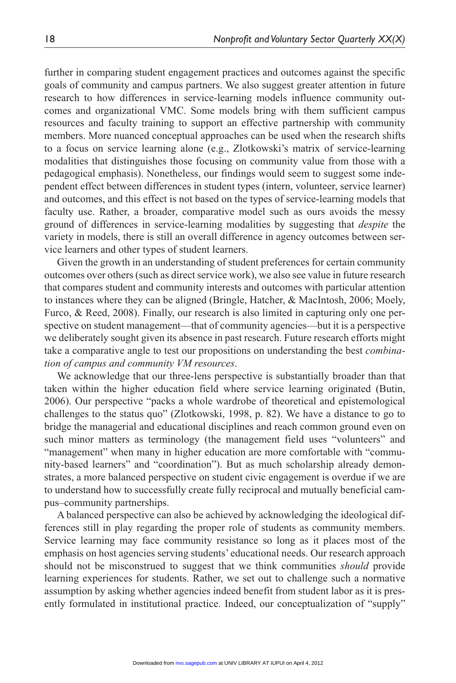further in comparing student engagement practices and outcomes against the specific goals of community and campus partners. We also suggest greater attention in future research to how differences in service-learning models influence community outcomes and organizational VMC. Some models bring with them sufficient campus resources and faculty training to support an effective partnership with community members. More nuanced conceptual approaches can be used when the research shifts to a focus on service learning alone (e.g., Zlotkowski's matrix of service-learning modalities that distinguishes those focusing on community value from those with a pedagogical emphasis). Nonetheless, our findings would seem to suggest some independent effect between differences in student types (intern, volunteer, service learner) and outcomes, and this effect is not based on the types of service-learning models that faculty use. Rather, a broader, comparative model such as ours avoids the messy ground of differences in service-learning modalities by suggesting that *despite* the variety in models, there is still an overall difference in agency outcomes between service learners and other types of student learners.

Given the growth in an understanding of student preferences for certain community outcomes over others (such as direct service work), we also see value in future research that compares student and community interests and outcomes with particular attention to instances where they can be aligned (Bringle, Hatcher, & MacIntosh, 2006; Moely, Furco, & Reed, 2008). Finally, our research is also limited in capturing only one perspective on student management—that of community agencies—but it is a perspective we deliberately sought given its absence in past research. Future research efforts might take a comparative angle to test our propositions on understanding the best *combination of campus and community VM resources*.

We acknowledge that our three-lens perspective is substantially broader than that taken within the higher education field where service learning originated (Butin, 2006). Our perspective "packs a whole wardrobe of theoretical and epistemological challenges to the status quo" (Zlotkowski, 1998, p. 82). We have a distance to go to bridge the managerial and educational disciplines and reach common ground even on such minor matters as terminology (the management field uses "volunteers" and "management" when many in higher education are more comfortable with "community-based learners" and "coordination"). But as much scholarship already demonstrates, a more balanced perspective on student civic engagement is overdue if we are to understand how to successfully create fully reciprocal and mutually beneficial campus–community partnerships.

A balanced perspective can also be achieved by acknowledging the ideological differences still in play regarding the proper role of students as community members. Service learning may face community resistance so long as it places most of the emphasis on host agencies serving students' educational needs. Our research approach should not be misconstrued to suggest that we think communities *should* provide learning experiences for students. Rather, we set out to challenge such a normative assumption by asking whether agencies indeed benefit from student labor as it is presently formulated in institutional practice. Indeed, our conceptualization of "supply"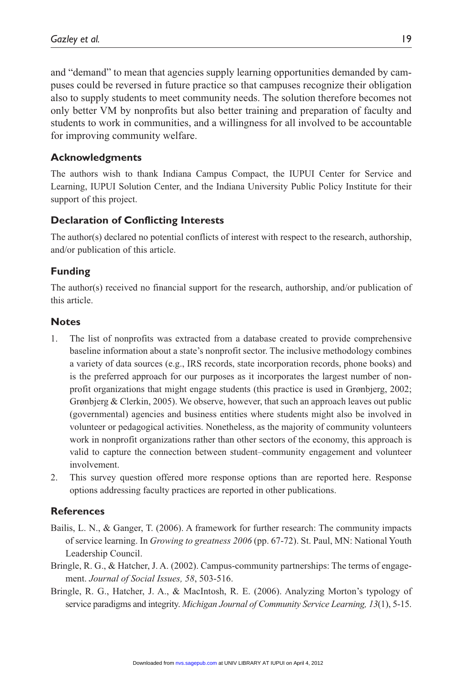and "demand" to mean that agencies supply learning opportunities demanded by campuses could be reversed in future practice so that campuses recognize their obligation also to supply students to meet community needs. The solution therefore becomes not only better VM by nonprofits but also better training and preparation of faculty and students to work in communities, and a willingness for all involved to be accountable for improving community welfare.

#### **Acknowledgments**

The authors wish to thank Indiana Campus Compact, the IUPUI Center for Service and Learning, IUPUI Solution Center, and the Indiana University Public Policy Institute for their support of this project.

#### **Declaration of Conflicting Interests**

The author(s) declared no potential conflicts of interest with respect to the research, authorship, and/or publication of this article.

#### **Funding**

The author(s) received no financial support for the research, authorship, and/or publication of this article.

#### **Notes**

- 1. The list of nonprofits was extracted from a database created to provide comprehensive baseline information about a state's nonprofit sector. The inclusive methodology combines a variety of data sources (e.g., IRS records, state incorporation records, phone books) and is the preferred approach for our purposes as it incorporates the largest number of nonprofit organizations that might engage students (this practice is used in Grønbjerg, 2002; Grønbjerg & Clerkin, 2005). We observe, however, that such an approach leaves out public (governmental) agencies and business entities where students might also be involved in volunteer or pedagogical activities. Nonetheless, as the majority of community volunteers work in nonprofit organizations rather than other sectors of the economy, this approach is valid to capture the connection between student–community engagement and volunteer involvement.
- 2. This survey question offered more response options than are reported here. Response options addressing faculty practices are reported in other publications.

#### **References**

- Bailis, L. N., & Ganger, T. (2006). A framework for further research: The community impacts of service learning. In *Growing to greatness 2006* (pp. 67-72). St. Paul, MN: National Youth Leadership Council.
- Bringle, R. G., & Hatcher, J. A. (2002). Campus-community partnerships: The terms of engagement. *Journal of Social Issues, 58*, 503-516.
- Bringle, R. G., Hatcher, J. A., & MacIntosh, R. E. (2006). Analyzing Morton's typology of service paradigms and integrity. *Michigan Journal of Community Service Learning, 13*(1), 5-15.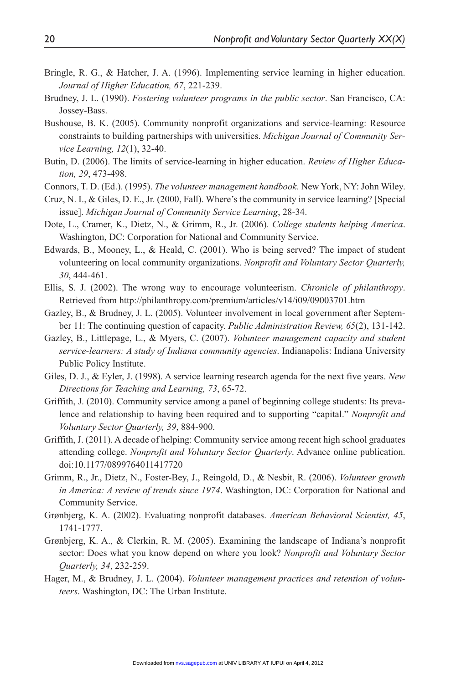- Bringle, R. G., & Hatcher, J. A. (1996). Implementing service learning in higher education. *Journal of Higher Education, 67*, 221-239.
- Brudney, J. L. (1990). *Fostering volunteer programs in the public sector*. San Francisco, CA: Jossey-Bass.
- Bushouse, B. K. (2005). Community nonprofit organizations and service-learning: Resource constraints to building partnerships with universities. *Michigan Journal of Community Service Learning, 12*(1), 32-40.
- Butin, D. (2006). The limits of service-learning in higher education. *Review of Higher Education, 29*, 473-498.
- Connors, T. D. (Ed.). (1995). *The volunteer management handbook*. New York, NY: John Wiley.
- Cruz, N. I., & Giles, D. E., Jr. (2000, Fall). Where's the community in service learning? [Special issue]. *Michigan Journal of Community Service Learning*, 28-34.
- Dote, L., Cramer, K., Dietz, N., & Grimm, R., Jr. (2006). *College students helping America*. Washington, DC: Corporation for National and Community Service.
- Edwards, B., Mooney, L., & Heald, C. (2001). Who is being served? The impact of student volunteering on local community organizations. *Nonprofit and Voluntary Sector Quarterly, 30*, 444-461.
- Ellis, S. J. (2002). The wrong way to encourage volunteerism. *Chronicle of philanthropy*. Retrieved from http://philanthropy.com/premium/articles/v14/i09/09003701.htm
- Gazley, B., & Brudney, J. L. (2005). Volunteer involvement in local government after September 11: The continuing question of capacity. *Public Administration Review, 65*(2), 131-142.
- Gazley, B., Littlepage, L., & Myers, C. (2007). *Volunteer management capacity and student service-learners: A study of Indiana community agencies*. Indianapolis: Indiana University Public Policy Institute.
- Giles, D. J., & Eyler, J. (1998). A service learning research agenda for the next five years. *New Directions for Teaching and Learning, 73*, 65-72.
- Griffith, J. (2010). Community service among a panel of beginning college students: Its prevalence and relationship to having been required and to supporting "capital." *Nonprofit and Voluntary Sector Quarterly, 39*, 884-900.
- Griffith, J. (2011). A decade of helping: Community service among recent high school graduates attending college. *Nonprofit and Voluntary Sector Quarterly*. Advance online publication. doi:10.1177/0899764011417720
- Grimm, R., Jr., Dietz, N., Foster-Bey, J., Reingold, D., & Nesbit, R. (2006). *Volunteer growth in America: A review of trends since 1974*. Washington, DC: Corporation for National and Community Service.
- Grønbjerg, K. A. (2002). Evaluating nonprofit databases. *American Behavioral Scientist, 45*, 1741-1777.
- Grønbjerg, K. A., & Clerkin, R. M. (2005). Examining the landscape of Indiana's nonprofit sector: Does what you know depend on where you look? *Nonprofit and Voluntary Sector Quarterly, 34*, 232-259.
- Hager, M., & Brudney, J. L. (2004). *Volunteer management practices and retention of volunteers*. Washington, DC: The Urban Institute.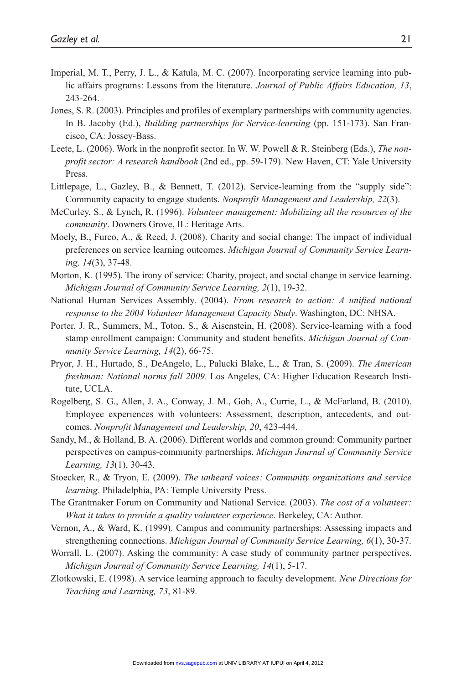- Imperial, M. T., Perry, J. L., & Katula, M. C. (2007). Incorporating service learning into public affairs programs: Lessons from the literature. *Journal of Public Affairs Education, 13*, 243-264.
- Jones, S. R. (2003). Principles and profiles of exemplary partnerships with community agencies. In B. Jacoby (Ed.), *Building partnerships for Service-learning* (pp. 151-173). San Francisco, CA: Jossey-Bass.
- Leete, L. (2006). Work in the nonprofit sector. In W. W. Powell & R. Steinberg (Eds.), *The nonprofit sector: A research handbook* (2nd ed., pp. 59-179). New Haven, CT: Yale University Press.
- Littlepage, L., Gazley, B., & Bennett, T. (2012). Service-learning from the "supply side": Community capacity to engage students. *Nonprofit Management and Leadership, 22*(3).
- McCurley, S., & Lynch, R. (1996). *Volunteer management: Mobilizing all the resources of the community*. Downers Grove, IL: Heritage Arts.
- Moely, B., Furco, A., & Reed, J. (2008). Charity and social change: The impact of individual preferences on service learning outcomes. *Michigan Journal of Community Service Learning, 14*(3), 37-48.
- Morton, K. (1995). The irony of service: Charity, project, and social change in service learning. *Michigan Journal of Community Service Learning, 2*(1), 19-32.
- National Human Services Assembly. (2004). *From research to action: A unified national response to the 2004 Volunteer Management Capacity Study*. Washington, DC: NHSA.
- Porter, J. R., Summers, M., Toton, S., & Aisenstein, H. (2008). Service-learning with a food stamp enrollment campaign: Community and student benefits. *Michigan Journal of Community Service Learning, 14*(2), 66-75.
- Pryor, J. H., Hurtado, S., DeAngelo, L., Palucki Blake, L., & Tran, S. (2009). *The American freshman: National norms fall 2009*. Los Angeles, CA: Higher Education Research Institute, UCLA.
- Rogelberg, S. G., Allen, J. A., Conway, J. M., Goh, A., Currie, L., & McFarland, B. (2010). Employee experiences with volunteers: Assessment, description, antecedents, and outcomes. *Nonprofit Management and Leadership, 20*, 423-444.
- Sandy, M., & Holland, B. A. (2006). Different worlds and common ground: Community partner perspectives on campus-community partnerships. *Michigan Journal of Community Service Learning, 13*(1), 30-43.
- Stoecker, R., & Tryon, E. (2009). *The unheard voices: Community organizations and service learning*. Philadelphia, PA: Temple University Press.
- The Grantmaker Forum on Community and National Service. (2003). *The cost of a volunteer: What it takes to provide a quality volunteer experience*. Berkeley, CA: Author.
- Vernon, A., & Ward, K. (1999). Campus and community partnerships: Assessing impacts and strengthening connections. *Michigan Journal of Community Service Learning, 6*(1), 30-37.
- Worrall, L. (2007). Asking the community: A case study of community partner perspectives. *Michigan Journal of Community Service Learning, 14*(1), 5-17.
- Zlotkowski, E. (1998). A service learning approach to faculty development. *New Directions for Teaching and Learning, 73*, 81-89.